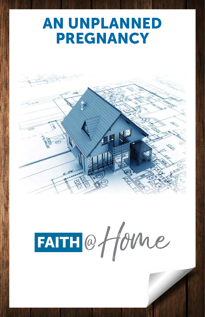# AN UNPLANNED PREGNANCY





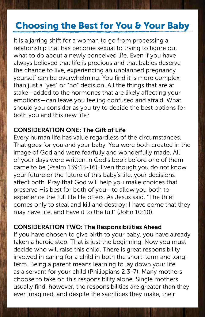### Choosing the Best for You & Your Baby

It is a jarring shift for a woman to go from processing a relationship that has become sexual to trying to figure out what to do about a newly conceived life. Even if you have always believed that life is precious and that babies deserve the chance to live, experiencing an unplanned pregnancy yourself can be overwhelming. You find it is more complex than just a "yes" or "no" decision. All the things that are at stake—added to the hormones that are likely affecting your emotions—can leave you feeling confused and afraid. What should you consider as you try to decide the best options for both you and this new life?

#### CONSIDERATION ONE: The Gift of Life

Every human life has value regardless of the circumstances. That goes for you and your baby. You were both created in the image of God and were fearfully and wonderfully made. All of your days were written in God's book before one of them came to be (Psalm 139:13-16). Even though you do not know your future or the future of this baby's life, your decisions affect both. Pray that God will help you make choices that preserve His best for both of you—to allow you both to experience the full life He offers. As Jesus said, "The thief comes only to steal and kill and destroy; I have come that they may have life, and have it to the full" (John 10:10).

#### CONSIDERATION TWO: The Responsibilities Ahead

If you have chosen to give birth to your baby, you have already taken a heroic step. That is just the beginning. Now you must decide who will raise this child. There is great responsibility involved in caring for a child in both the short-term and longterm. Being a parent means learning to lay down your life as a servant for your child (Philippians 2:3-7). Many mothers choose to take on this responsibility alone. Single mothers usually find, however, the responsibilities are greater than they ever imagined, and despite the sacrifices they make, their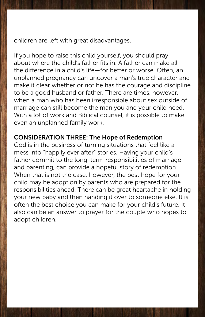children are left with great disadvantages.

If you hope to raise this child yourself, you should pray about where the child's father fits in. A father can make all the difference in a child's life—for better or worse. Often, an unplanned pregnancy can uncover a man's true character and make it clear whether or not he has the courage and discipline to be a good husband or father. There are times, however, when a man who has been irresponsible about sex outside of marriage can still become the man you and your child need. With a lot of work and Biblical counsel, it is possible to make even an unplanned family work.

#### CONSIDERATION THREE: The Hope of Redemption

God is in the business of turning situations that feel like a mess into "happily ever after" stories. Having your child's father commit to the long-term responsibilities of marriage and parenting, can provide a hopeful story of redemption. When that is not the case, however, the best hope for your child may be adoption by parents who are prepared for the responsibilities ahead. There can be great heartache in holding your new baby and then handing it over to someone else. It is often the best choice you can make for your child's future. It also can be an answer to prayer for the couple who hopes to adopt children.